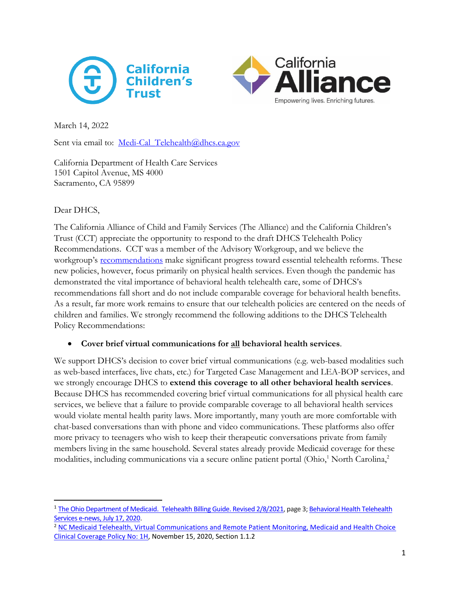



March 14, 2022

Sent via email to: Medi-Cal Telehealth@dhcs.ca.gov

California Department of Health Care Services 1501 Capitol Avenue, MS 4000 Sacramento, CA 95899

### Dear DHCS,

The California Alliance of Child and Family Services (The Alliance) and the California Children's Trust (CCT) appreciate the opportunity to respond to the draft DHCS Telehealth Policy Recommendations. CCT was a member of the Advisory Workgroup, and we believe the workgroup's **[recommendations](https://www.dhcs.ca.gov/services/medi-cal/Documents/DHCS-Telehealth-Policy-Paper-2-3-22.pdf)** make significant progress toward essential telehealth reforms. These new policies, however, focus primarily on physical health services. Even though the pandemic has demonstrated the vital importance of behavioral health telehealth care, some of DHCS's recommendations fall short and do not include comparable coverage for behavioral health benefits. As a result, far more work remains to ensure that our telehealth policies are centered on the needs of children and families. We strongly recommend the following additions to the DHCS Telehealth Policy Recommendations:

#### • **Cover brief virtual communications for all behavioral health services**.

We support DHCS's decision to cover brief virtual communications (e.g. web-based modalities such as web-based interfaces, live chats, etc.) for Targeted Case Management and LEA-BOP services, and we strongly encourage DHCS to **extend this coverage to all other behavioral health services**. Because DHCS has recommended covering brief virtual communications for all physical health care services, we believe that a failure to provide comparable coverage to all behavioral health services would violate mental health parity laws. More importantly, many youth are more comfortable with chat-based conversations than with phone and video communications. These platforms also offer more privacy to teenagers who wish to keep their therapeutic conversations private from family members living in the same household. Several states already provide Medicaid coverage for these modalities, including communications via a secure online patient portal (Ohio,<sup>1</sup> North Carolina,<sup>2</sup>

<sup>1</sup> The Ohio Department of Medicaid. [Telehealth Billing Guide. Revised 2/8/2021,](https://medicaid.ohio.gov/static/Providers/COVID19/Telehealth/Telehealth-Billing-Guidelines-on-or-after-11-15-2020.pdf) page 3[; Behavioral Health Telehealth](https://bh.medicaid.ohio.gov/Portals/0/Newsletters/2020/BH%20Newsletter_Telehealth%20Delivery%20Extended%20for%20Medicaid%20Services%20Including%20Behavioral%20Health_7.1.pdf?ver=2020-07-17-135820-077)  [Services e-news, July 17, 2020.](https://bh.medicaid.ohio.gov/Portals/0/Newsletters/2020/BH%20Newsletter_Telehealth%20Delivery%20Extended%20for%20Medicaid%20Services%20Including%20Behavioral%20Health_7.1.pdf?ver=2020-07-17-135820-077)

<sup>&</sup>lt;sup>2</sup> NC Medicaid Telehealth, Virtual Communications and Remote Patient Monitoring, Medicaid and Health Choice [Clinical Coverage Policy No: 1H,](https://files.nc.gov/ncdma/documents/files/1H_4.pdf) November 15, 2020, Section 1.1.2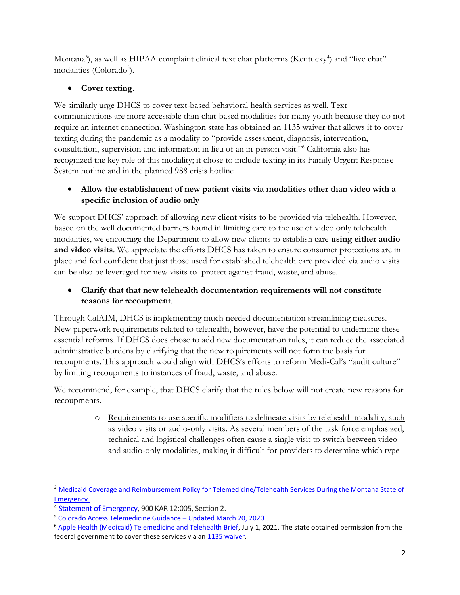Montana<sup>3</sup>), as well as HIPAA complaint clinical text chat platforms (Kentucky<sup>4</sup>) and "live chat" modalities (Colorado<sup>5</sup>).

# • **Cover texting.**

We similarly urge DHCS to cover text-based behavioral health services as well. Text communications are more accessible than chat-based modalities for many youth because they do not require an internet connection. Washington state has obtained an 1135 waiver that allows it to cover texting during the pandemic as a modality to "provide assessment, diagnosis, intervention, consultation, supervision and information in lieu of an in-person visit." <sup>6</sup> California also has recognized the key role of this modality; it chose to include texting in its Family Urgent Response System hotline and in the planned 988 crisis hotline

## • **Allow the establishment of new patient visits via modalities other than video with a specific inclusion of audio only**

We support DHCS' approach of allowing new client visits to be provided via telehealth. However, based on the well documented barriers found in limiting care to the use of video only telehealth modalities, we encourage the Department to allow new clients to establish care **using either audio and video visits**. We appreciate the efforts DHCS has taken to ensure consumer protections are in place and feel confident that just those used for established telehealth care provided via audio visits can be also be leveraged for new visits to protect against fraud, waste, and abuse.

## • **Clarify that that new telehealth documentation requirements will not constitute reasons for recoupment**.

Through CalAIM, DHCS is implementing much needed documentation streamlining measures. New paperwork requirements related to telehealth, however, have the potential to undermine these essential reforms. If DHCS does chose to add new documentation rules, it can reduce the associated administrative burdens by clarifying that the new requirements will not form the basis for recoupments. This approach would align with DHCS's efforts to reform Medi-Cal's "audit culture" by limiting recoupments to instances of fraud, waste, and abuse.

We recommend, for example, that DHCS clarify that the rules below will not create new reasons for recoupments.

> o Requirements to use specific modifiers to delineate visits by telehealth modality, such as video visits or audio-only visits. As several members of the task force emphasized, technical and logistical challenges often cause a single visit to switch between video and audio-only modalities, making it difficult for providers to determine which type

<sup>&</sup>lt;sup>3</sup> Medicaid Coverage and Reimbursement Policy for Telemedicine/Telehealth Services During the Montana State of [Emergency.](https://covid19.mt.gov/_docs/Memo%20Telemedicine%203%2019%2020.pdf)

<sup>&</sup>lt;sup>4</sup> [Statement of Emergency,](https://apps.legislature.ky.gov/law/kar/900/012/005E.pdf) 900 KAR 12:005, Section 2.

<sup>5</sup> [Colorado Access Telemedicine Guidance](https://www.coaccess.com/wp-content/uploads/2020/03/Colorado-Access-Telehealth-Guidance-QA.pdf) – Updated March 20, 2020

<sup>&</sup>lt;sup>6</sup> [Apple Health \(Medicaid\) Telemedicine and Telehealth Brief,](https://www.hca.wa.gov/assets/billers-and-providers/apple-health-telemedicine-telehealth-brief-COVID19.pdf) July 1, 2021. The state obtained permission from the federal government to cover these services via an [1135 waiver.](https://www.hca.wa.gov/assets/WA-1135-waiver-request.pdf)